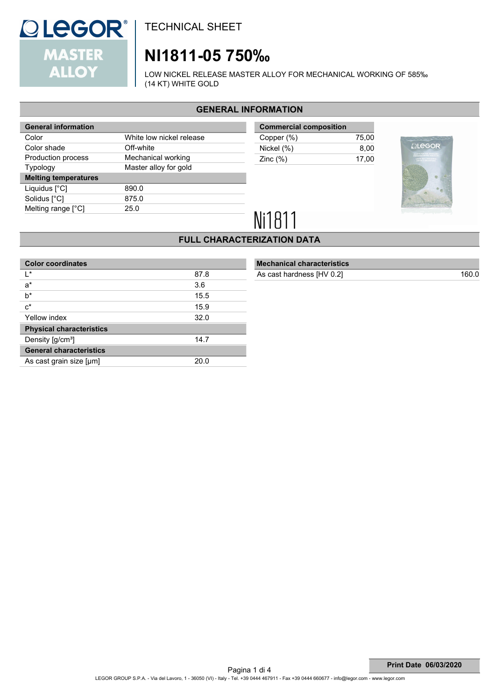

# **NI1811-05 750‰**

LOW NICKEL RELEASE MASTER ALLOY FOR MECHANICAL WORKING OF 585‰ (14 KT) WHITE GOLD

### **GENERAL INFORMATION**

| White low nickel release |  |  |
|--------------------------|--|--|
| Off-white                |  |  |
| Mechanical working       |  |  |
| Master alloy for gold    |  |  |
|                          |  |  |
| 890.0                    |  |  |
| 875.0                    |  |  |
| 25.0                     |  |  |
|                          |  |  |

| <b>Commercial composition</b> |  |  |  |
|-------------------------------|--|--|--|
| 75.00                         |  |  |  |
| 8.00                          |  |  |  |
| 17.00                         |  |  |  |
|                               |  |  |  |



# Ni1811

### **FULL CHARACTERIZATION DATA**

| <b>Color coordinates</b>              |      |
|---------------------------------------|------|
| l*                                    | 87.8 |
| $a^*$                                 | 3.6  |
| $b^*$                                 | 15.5 |
| $c^*$                                 | 15.9 |
| Yellow index                          | 32.0 |
| <b>Physical characteristics</b>       |      |
| Density $\left[\frac{q}{cm^3}\right]$ | 14.7 |
| <b>General characteristics</b>        |      |
| As cast grain size [µm]               | 20.0 |

### **Mechanical characteristics**

As cast hardness [HV 0.2] 160.0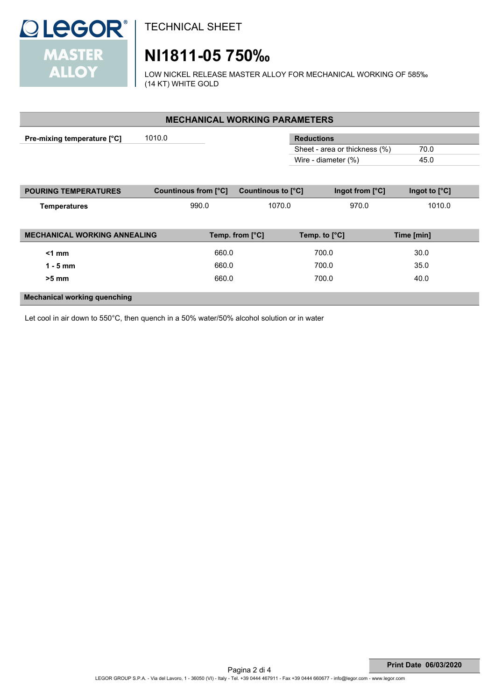

# **NI1811-05 750‰**

LOW NICKEL RELEASE MASTER ALLOY FOR MECHANICAL WORKING OF 585‰ (14 KT) WHITE GOLD

| <b>MECHANICAL WORKING PARAMETERS</b> |                      |                    |                               |                 |  |  |  |
|--------------------------------------|----------------------|--------------------|-------------------------------|-----------------|--|--|--|
|                                      |                      |                    |                               |                 |  |  |  |
| Pre-mixing temperature [°C]          | 1010.0               |                    | <b>Reductions</b>             |                 |  |  |  |
|                                      |                      |                    | Sheet - area or thickness (%) | 70.0            |  |  |  |
|                                      |                      |                    | Wire - diameter (%)           | 45.0            |  |  |  |
|                                      |                      |                    |                               |                 |  |  |  |
|                                      |                      |                    |                               |                 |  |  |  |
| <b>POURING TEMPERATURES</b>          | Countinous from [°C] | Countinous to [°C] | Ingot from [°C]               | Ingot to $[°C]$ |  |  |  |
|                                      |                      |                    |                               |                 |  |  |  |
| <b>Temperatures</b>                  | 990.0                | 1070.0             | 970.0                         | 1010.0          |  |  |  |
|                                      |                      |                    |                               |                 |  |  |  |
|                                      |                      |                    |                               |                 |  |  |  |
| <b>MECHANICAL WORKING ANNEALING</b>  |                      | Temp. from [°C]    | Temp. to $[^{\circ}C]$        | Time [min]      |  |  |  |
|                                      |                      |                    |                               |                 |  |  |  |
| $<1$ mm                              | 660.0                |                    | 700.0                         | 30.0            |  |  |  |
| $1 - 5$ mm                           | 660.0                |                    | 700.0                         | 35.0            |  |  |  |
|                                      |                      |                    |                               |                 |  |  |  |
| $>5$ mm                              | 660.0                |                    | 700.0                         | 40.0            |  |  |  |
|                                      |                      |                    |                               |                 |  |  |  |
| <b>Mechanical working quenching</b>  |                      |                    |                               |                 |  |  |  |

Let cool in air down to 550°C, then quench in a 50% water/50% alcohol solution or in water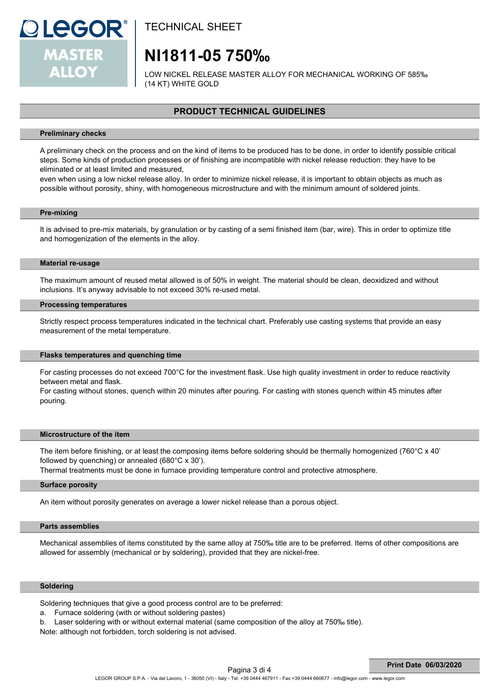

### **NI1811-05 750‰**

LOW NICKEL RELEASE MASTER ALLOY FOR MECHANICAL WORKING OF 585‰ (14 KT) WHITE GOLD

### **PRODUCT TECHNICAL GUIDELINES**

#### **Preliminary checks**

A preliminary check on the process and on the kind of items to be produced has to be done, in order to identify possible critical steps. Some kinds of production processes or of finishing are incompatible with nickel release reduction: they have to be eliminated or at least limited and measured,

even when using a low nickel release alloy. In order to minimize nickel release, it is important to obtain objects as much as possible without porosity, shiny, with homogeneous microstructure and with the minimum amount of soldered joints.

#### **Pre-mixing**

It is advised to pre-mix materials, by granulation or by casting of a semi finished item (bar, wire). This in order to optimize title and homogenization of the elements in the alloy.

#### **Material re-usage**

The maximum amount of reused metal allowed is of 50% in weight. The material should be clean, deoxidized and without inclusions. It's anyway advisable to not exceed 30% re-used metal.

#### **Processing temperatures**

Strictly respect process temperatures indicated in the technical chart. Preferably use casting systems that provide an easy measurement of the metal temperature.

#### **Flasks temperatures and quenching time**

For casting processes do not exceed 700°C for the investment flask. Use high quality investment in order to reduce reactivity between metal and flask.

For casting without stones, quench within 20 minutes after pouring. For casting with stones quench within 45 minutes after pouring.

#### **Microstructure of the item**

The item before finishing, or at least the composing items before soldering should be thermally homogenized (760°C x 40' followed by quenching) or annealed (680°C x 30').

Thermal treatments must be done in furnace providing temperature control and protective atmosphere.

#### **Surface porosity**

An item without porosity generates on average a lower nickel release than a porous object.

#### **Parts assemblies**

Mechanical assemblies of items constituted by the same alloy at 750‰ title are to be preferred. Items of other compositions are allowed for assembly (mechanical or by soldering), provided that they are nickel-free.

#### **Soldering**

Soldering techniques that give a good process control are to be preferred:

- a. Furnace soldering (with or without soldering pastes)
- b. Laser soldering with or without external material (same composition of the alloy at 750‰ title).

Note: although not forbidden, torch soldering is not advised.